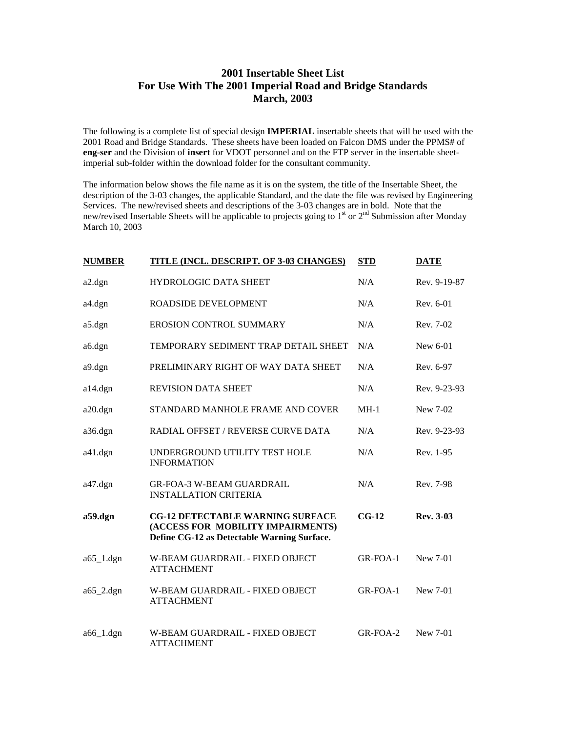## **2001 Insertable Sheet List For Use With The 2001 Imperial Road and Bridge Standards March, 2003**

The following is a complete list of special design **IMPERIAL** insertable sheets that will be used with the 2001 Road and Bridge Standards. These sheets have been loaded on Falcon DMS under the PPMS# of **eng-ser** and the Division of **insert** for VDOT personnel and on the FTP server in the insertable sheetimperial sub-folder within the download folder for the consultant community.

The information below shows the file name as it is on the system, the title of the Insertable Sheet, the description of the 3-03 changes, the applicable Standard, and the date the file was revised by Engineering Services. The new/revised sheets and descriptions of the 3-03 changes are in bold. Note that the new/revised Insertable Sheets will be applicable to projects going to 1<sup>st</sup> or 2<sup>nd</sup> Submission after Monday March 10, 2003

| <b>NUMBER</b>          | <b>TITLE (INCL. DESCRIPT. OF 3-03 CHANGES)</b>                                                                              | <b>STD</b> | <b>DATE</b>  |
|------------------------|-----------------------------------------------------------------------------------------------------------------------------|------------|--------------|
| $a2.$ dgn              | <b>HYDROLOGIC DATA SHEET</b>                                                                                                | N/A        | Rev. 9-19-87 |
| a4.dgn                 | ROADSIDE DEVELOPMENT                                                                                                        | N/A        | Rev. 6-01    |
| a5.dgn                 | EROSION CONTROL SUMMARY                                                                                                     | N/A        | Rev. 7-02    |
| a6.dgn                 | TEMPORARY SEDIMENT TRAP DETAIL SHEET                                                                                        | N/A        | New 6-01     |
| a9.dgn                 | PRELIMINARY RIGHT OF WAY DATA SHEET                                                                                         | N/A        | Rev. 6-97    |
| $a14.$ dgn             | <b>REVISION DATA SHEET</b>                                                                                                  | N/A        | Rev. 9-23-93 |
| $a20.$ dgn             | STANDARD MANHOLE FRAME AND COVER                                                                                            | $MH-1$     | New 7-02     |
| a36.dgn                | RADIAL OFFSET / REVERSE CURVE DATA                                                                                          | N/A        | Rev. 9-23-93 |
| $a41.$ dgn             | UNDERGROUND UTILITY TEST HOLE<br><b>INFORMATION</b>                                                                         | N/A        | Rev. 1-95    |
| a47.dgn                | <b>GR-FOA-3 W-BEAM GUARDRAIL</b><br><b>INSTALLATION CRITERIA</b>                                                            | N/A        | Rev. 7-98    |
| a59.dgn                | <b>CG-12 DETECTABLE WARNING SURFACE</b><br>(ACCESS FOR MOBILITY IMPAIRMENTS)<br>Define CG-12 as Detectable Warning Surface. | $CG-12$    | Rev. 3-03    |
| $a65$ <sup>1.dgn</sup> | W-BEAM GUARDRAIL - FIXED OBJECT<br><b>ATTACHMENT</b>                                                                        | GR-FOA-1   | New 7-01     |
| $a65$ <sup>2.dgn</sup> | W-BEAM GUARDRAIL - FIXED OBJECT<br><b>ATTACHMENT</b>                                                                        | $GR-FOA-1$ | New 7-01     |
| $a66$ <sup>1.dgn</sup> | W-BEAM GUARDRAIL - FIXED OBJECT<br><b>ATTACHMENT</b>                                                                        | GR-FOA-2   | New 7-01     |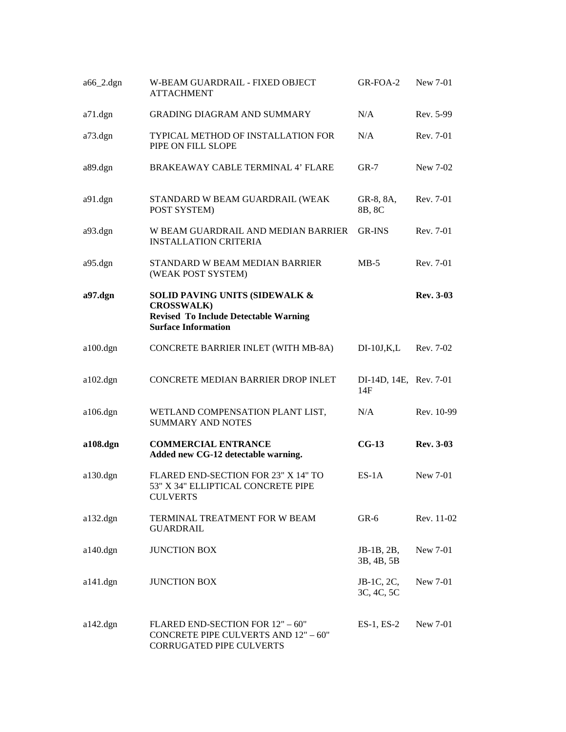| $a66$ <sup>2.dgn</sup> | W-BEAM GUARDRAIL - FIXED OBJECT<br><b>ATTACHMENT</b>                                                                              | GR-FOA-2                      | New 7-01         |
|------------------------|-----------------------------------------------------------------------------------------------------------------------------------|-------------------------------|------------------|
| a71.dgn                | <b>GRADING DIAGRAM AND SUMMARY</b>                                                                                                | N/A                           | Rev. 5-99        |
| a73.dgn                | TYPICAL METHOD OF INSTALLATION FOR<br>PIPE ON FILL SLOPE                                                                          | N/A                           | Rev. 7-01        |
| a89.dgn                | BRAKEAWAY CABLE TERMINAL 4' FLARE                                                                                                 | $GR-7$                        | New 7-02         |
| a91.dgn                | STANDARD W BEAM GUARDRAIL (WEAK<br>POST SYSTEM)                                                                                   | GR-8, 8A,<br>8B, 8C           | Rev. 7-01        |
| a93.dgn                | W BEAM GUARDRAIL AND MEDIAN BARRIER<br><b>INSTALLATION CRITERIA</b>                                                               | GR-INS                        | Rev. 7-01        |
| a95.dgn                | STANDARD W BEAM MEDIAN BARRIER<br>(WEAK POST SYSTEM)                                                                              | $MB-5$                        | Rev. 7-01        |
| $a97.$ dgn             | SOLID PAVING UNITS (SIDEWALK &<br><b>CROSSWALK)</b><br><b>Revised To Include Detectable Warning</b><br><b>Surface Information</b> |                               | <b>Rev. 3-03</b> |
| $a100 \text{.}$ dgn    | CONCRETE BARRIER INLET (WITH MB-8A)                                                                                               | $DI-10J,K,L$                  | Rev. 7-02        |
| $a102.$ dgn            | CONCRETE MEDIAN BARRIER DROP INLET                                                                                                | DI-14D, 14E, Rev. 7-01<br>14F |                  |
| $a106.$ dgn            | WETLAND COMPENSATION PLANT LIST,<br><b>SUMMARY AND NOTES</b>                                                                      | N/A                           | Rev. 10-99       |
| a108.dgn               | <b>COMMERCIAL ENTRANCE</b><br>Added new CG-12 detectable warning.                                                                 | $CG-13$                       | <b>Rev. 3-03</b> |
| $a130.$ dgn            | FLARED END-SECTION FOR 23" X 14" TO<br>53" X 34" ELLIPTICAL CONCRETE PIPE<br><b>CULVERTS</b>                                      | $ES-1A$                       | New 7-01         |
| $a132.$ dgn            | TERMINAL TREATMENT FOR W BEAM<br><b>GUARDRAIL</b>                                                                                 | $GR-6$                        | Rev. 11-02       |
| $a140.$ dgn            | <b>JUNCTION BOX</b>                                                                                                               | JB-1B, 2B,<br>3B, 4B, 5B      | New 7-01         |
| $a141.$ dgn            | <b>JUNCTION BOX</b>                                                                                                               | JB-1C, 2C,<br>3C, 4C, 5C      | New 7-01         |
| $a142.$ dgn            | FLARED END-SECTION FOR 12" - 60"<br><b>CONCRETE PIPE CULVERTS AND 12" - 60"</b><br>CORRUGATED PIPE CULVERTS                       | $ES-1$ , $ES-2$               | New 7-01         |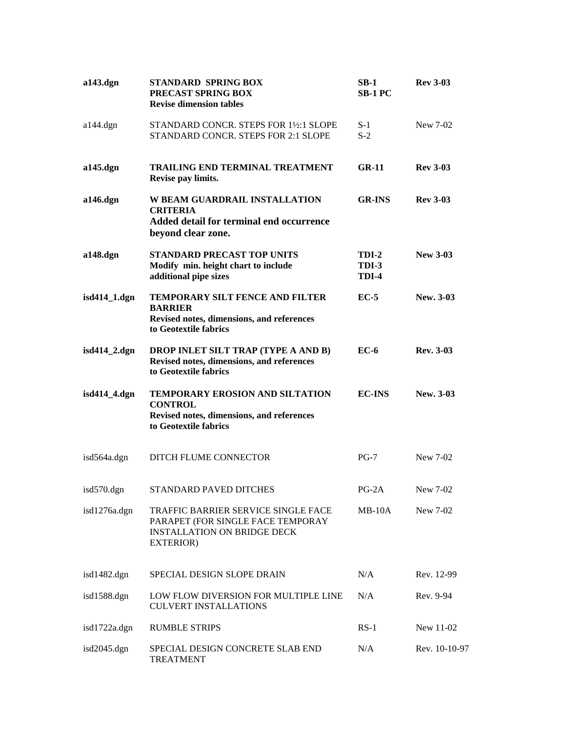| $a143.$ dgn   | <b>STANDARD SPRING BOX</b><br>PRECAST SPRING BOX<br><b>Revise dimension tables</b>                                                  | $SB-1$<br><b>SB-1 PC</b>       | <b>Rev 3-03</b>  |
|---------------|-------------------------------------------------------------------------------------------------------------------------------------|--------------------------------|------------------|
| $a144.$ dgn   | STANDARD CONCR. STEPS FOR 1½:1 SLOPE<br>STANDARD CONCR. STEPS FOR 2:1 SLOPE                                                         | $S-1$<br>$S-2$                 | New 7-02         |
| a145.dgn      | <b>TRAILING END TERMINAL TREATMENT</b><br>Revise pay limits.                                                                        | $GR-11$                        | <b>Rev 3-03</b>  |
| a146.dgn      | W BEAM GUARDRAIL INSTALLATION<br><b>CRITERIA</b><br>Added detail for terminal end occurrence<br>beyond clear zone.                  | <b>GR-INS</b>                  | <b>Rev 3-03</b>  |
| a148.dgn      | <b>STANDARD PRECAST TOP UNITS</b><br>Modify min. height chart to include<br>additional pipe sizes                                   | <b>TDI-2</b><br>TDI-3<br>TDI-4 | <b>New 3-03</b>  |
| isd414_1.dgn  | TEMPORARY SILT FENCE AND FILTER<br><b>BARRIER</b><br>Revised notes, dimensions, and references<br>to Geotextile fabrics             | $EC-5$                         | New. 3-03        |
| isd414_2.dgn  | DROP INLET SILT TRAP (TYPE A AND B)<br>Revised notes, dimensions, and references<br>to Geotextile fabrics                           | $EC-6$                         | <b>Rev. 3-03</b> |
| isd414_4.dgn  | TEMPORARY EROSION AND SILTATION<br><b>CONTROL</b><br>Revised notes, dimensions, and references<br>to Geotextile fabrics             | <b>EC-INS</b>                  | New. 3-03        |
| isd564a.dgn   | DITCH FLUME CONNECTOR                                                                                                               | $PG-7$                         | New 7-02         |
| $isd570.$ dgn | STANDARD PAVED DITCHES                                                                                                              | $PG-2A$                        | New 7-02         |
| isd1276a.dgn  | TRAFFIC BARRIER SERVICE SINGLE FACE<br>PARAPET (FOR SINGLE FACE TEMPORAY<br><b>INSTALLATION ON BRIDGE DECK</b><br><b>EXTERIOR</b> ) | $MB-10A$                       | New 7-02         |
| isd1482.dgn   | SPECIAL DESIGN SLOPE DRAIN                                                                                                          | N/A                            | Rev. 12-99       |
| isd1588.dgn   | LOW FLOW DIVERSION FOR MULTIPLE LINE<br><b>CULVERT INSTALLATIONS</b>                                                                | N/A                            | Rev. 9-94        |
| isd1722a.dgn  | <b>RUMBLE STRIPS</b>                                                                                                                | $RS-1$                         | New 11-02        |
| isd2045.dgn   | SPECIAL DESIGN CONCRETE SLAB END<br><b>TREATMENT</b>                                                                                | N/A                            | Rev. 10-10-97    |